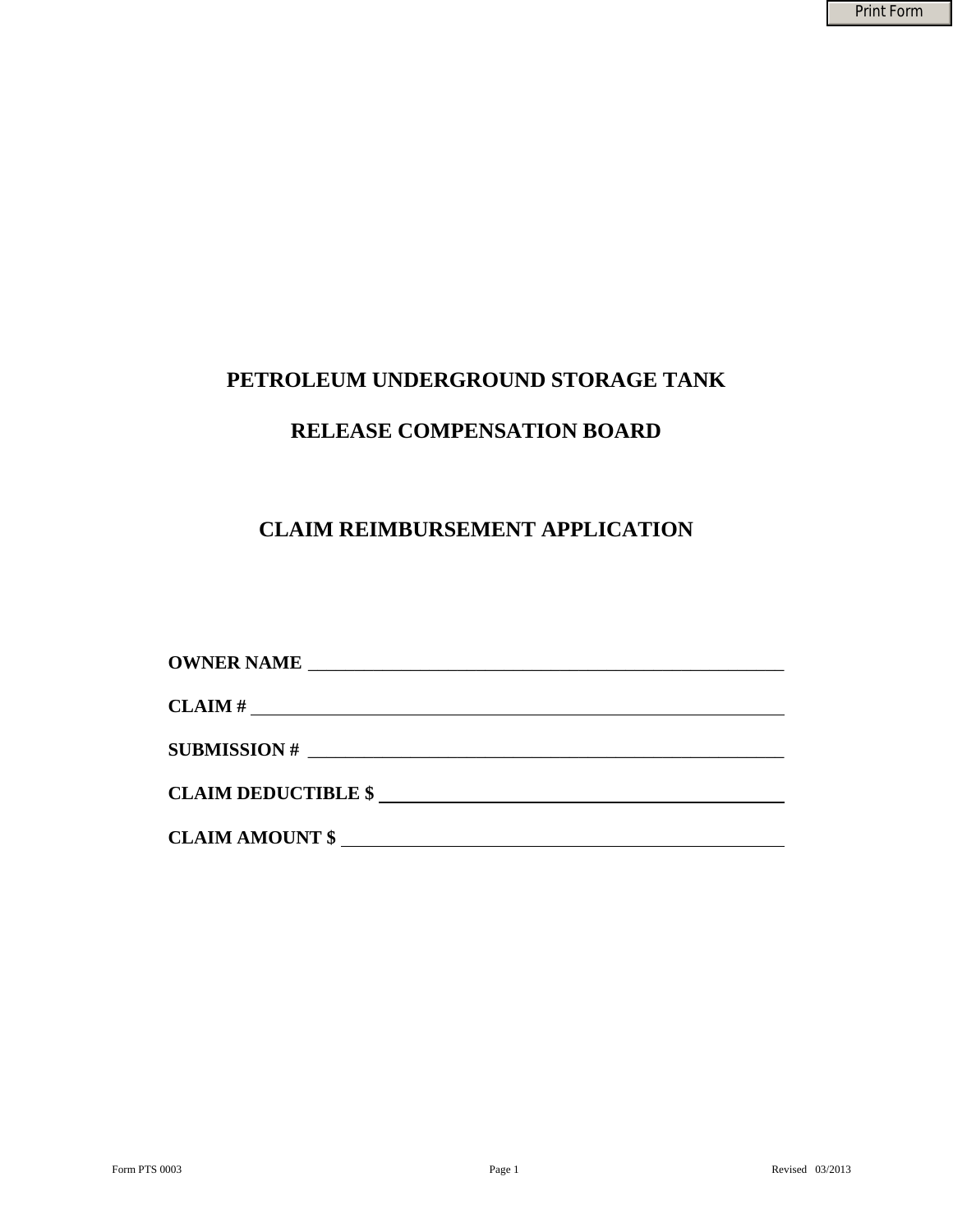# **PETROLEUM UNDERGROUND STORAGE TANK**

## **RELEASE COMPENSATION BOARD**

## **CLAIM REIMBURSEMENT APPLICATION**

| OWNER NAME          |  |  |
|---------------------|--|--|
|                     |  |  |
| CLAIM#              |  |  |
| SUBMISSION #        |  |  |
|                     |  |  |
| CLAIM DEDUCTIBLE \$ |  |  |
| CLAIM AMOUNT \$     |  |  |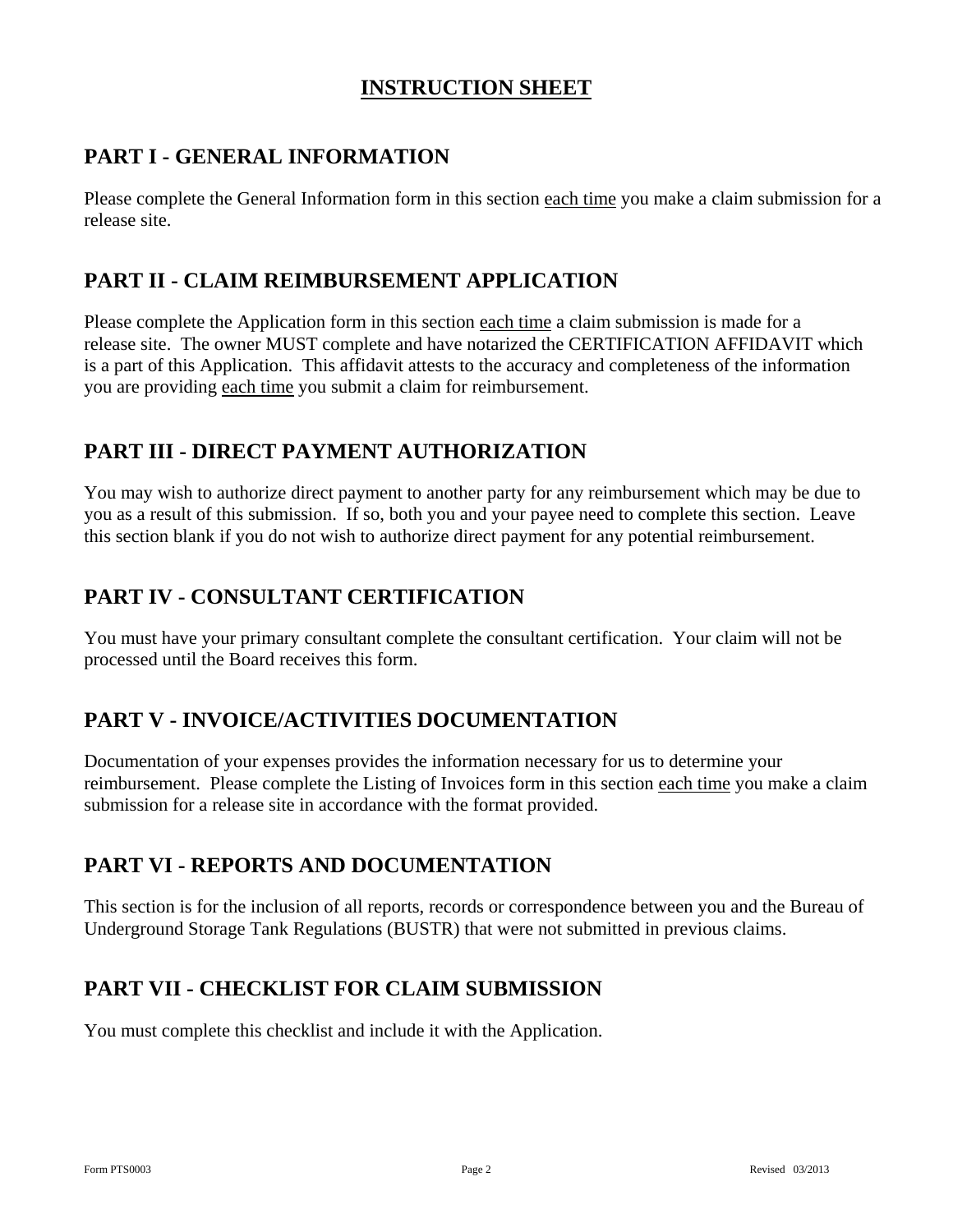## **INSTRUCTION SHEET**

## **PART I - GENERAL INFORMATION**

Please complete the General Information form in this section each time you make a claim submission for a release site.

## **PART II - CLAIM REIMBURSEMENT APPLICATION**

Please complete the Application form in this section each time a claim submission is made for a release site. The owner MUST complete and have notarized the CERTIFICATION AFFIDAVIT which is a part of this Application. This affidavit attests to the accuracy and completeness of the information you are providing each time you submit a claim for reimbursement.

## **PART III - DIRECT PAYMENT AUTHORIZATION**

You may wish to authorize direct payment to another party for any reimbursement which may be due to you as a result of this submission. If so, both you and your payee need to complete this section. Leave this section blank if you do not wish to authorize direct payment for any potential reimbursement.

## **PART IV - CONSULTANT CERTIFICATION**

You must have your primary consultant complete the consultant certification. Your claim will not be processed until the Board receives this form.

### **PART V - INVOICE/ACTIVITIES DOCUMENTATION**

Documentation of your expenses provides the information necessary for us to determine your reimbursement. Please complete the Listing of Invoices form in this section each time you make a claim submission for a release site in accordance with the format provided.

### **PART VI - REPORTS AND DOCUMENTATION**

This section is for the inclusion of all reports, records or correspondence between you and the Bureau of Underground Storage Tank Regulations (BUSTR) that were not submitted in previous claims.

### **PART VII - CHECKLIST FOR CLAIM SUBMISSION**

You must complete this checklist and include it with the Application.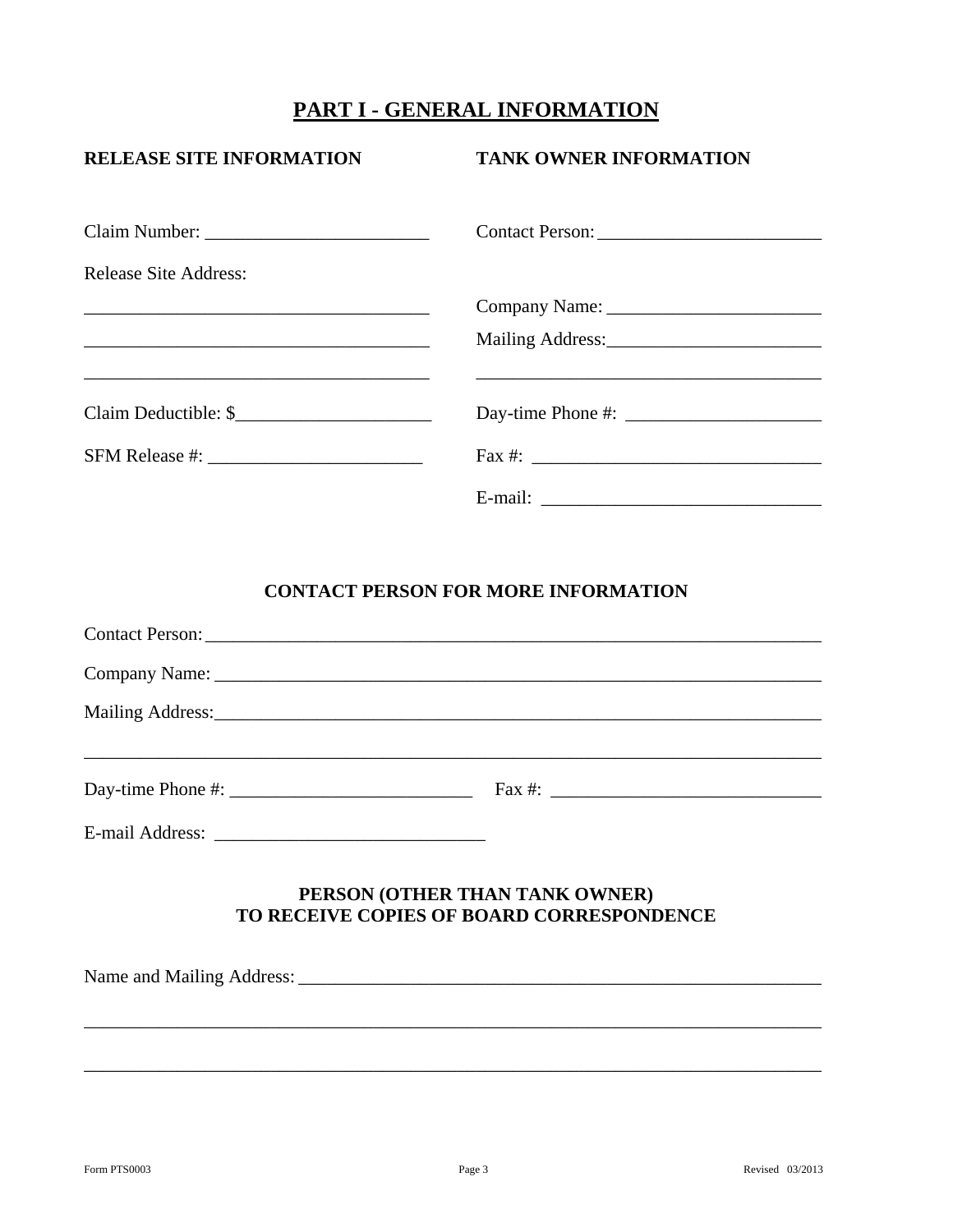## PART I - GENERAL INFORMATION

| <b>RELEASE SITE INFORMATION</b>           | <b>TANK OWNER INFORMATION</b>              |
|-------------------------------------------|--------------------------------------------|
|                                           |                                            |
| <b>Release Site Address:</b>              |                                            |
|                                           |                                            |
|                                           |                                            |
|                                           |                                            |
|                                           |                                            |
|                                           |                                            |
|                                           | <b>CONTACT PERSON FOR MORE INFORMATION</b> |
|                                           |                                            |
|                                           |                                            |
|                                           |                                            |
|                                           |                                            |
| TO RECEIVE COPIES OF BOARD CORRESPONDENCE | PERSON (OTHER THAN TANK OWNER)             |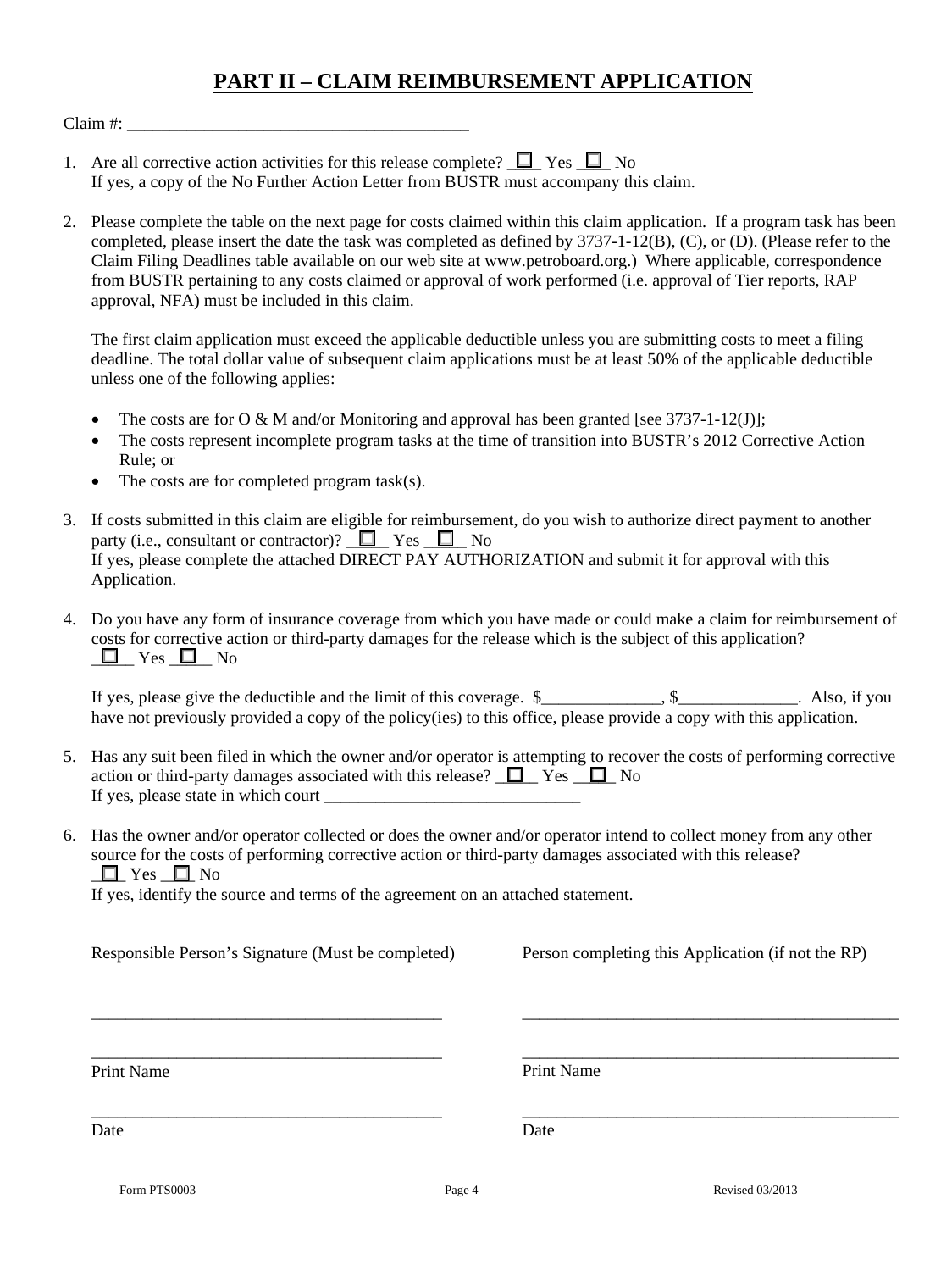## **PART II – CLAIM REIMBURSEMENT APPLICATION**

 $Claim \#:$ 

- 1. Are all corrective action activities for this release complete?  $\Box$  Yes  $\Box$  No If yes, a copy of the No Further Action Letter from BUSTR must accompany this claim.
- 2. Please complete the table on the next page for costs claimed within this claim application. If a program task has been completed, please insert the date the task was completed as defined by 3737-1-12(B), (C), or (D). (Please refer to the Claim Filing Deadlines table available on our web site at www.petroboard.org.) Where applicable, correspondence from BUSTR pertaining to any costs claimed or approval of work performed (i.e. approval of Tier reports, RAP approval, NFA) must be included in this claim.

The first claim application must exceed the applicable deductible unless you are submitting costs to meet a filing deadline. The total dollar value of subsequent claim applications must be at least 50% of the applicable deductible unless one of the following applies:

- The costs are for O & M and/or Monitoring and approval has been granted [see  $3737-1-12(J)$ ];
- The costs represent incomplete program tasks at the time of transition into BUSTR's 2012 Corrective Action Rule; or
- The costs are for completed program task(s).
- 3. If costs submitted in this claim are eligible for reimbursement, do you wish to authorize direct payment to another party (i.e., consultant or contractor)?  $\square$  Yes  $\square$  No If yes, please complete the attached DIRECT PAY AUTHORIZATION and submit it for approval with this Application.
- 4. Do you have any form of insurance coverage from which you have made or could make a claim for reimbursement of costs for corrective action or third-party damages for the release which is the subject of this application?  $\Box$  Yes  $\Box$  No

If yes, please give the deductible and the limit of this coverage.  $\frac{1}{2}$ ,  $\frac{1}{2}$ ,  $\frac{1}{2}$ , Also, if you have not previously provided a copy of the policy(ies) to this office, please provide a copy with this application.

- 5. Has any suit been filed in which the owner and/or operator is attempting to recover the costs of performing corrective action or third-party damages associated with this release?  $\Box$  Yes  $\Box$  No If yes, please state in which court
- 6. Has the owner and/or operator collected or does the owner and/or operator intend to collect money from any other source for the costs of performing corrective action or third-party damages associated with this release?  $\Box$  Yes  $\Box$  No

If yes, identify the source and terms of the agreement on an attached statement.

Responsible Person's Signature (Must be completed)

\_\_\_\_\_\_\_\_\_\_\_\_\_\_\_\_\_\_\_\_\_\_\_\_\_\_\_\_\_\_\_\_\_\_\_\_\_\_\_\_\_

\_\_\_\_\_\_\_\_\_\_\_\_\_\_\_\_\_\_\_\_\_\_\_\_\_\_\_\_\_\_\_\_\_\_\_\_\_\_\_\_\_

\_\_\_\_\_\_\_\_\_\_\_\_\_\_\_\_\_\_\_\_\_\_\_\_\_\_\_\_\_\_\_\_\_\_\_\_\_\_\_\_\_

Person completing this Application (if not the RP)

\_\_\_\_\_\_\_\_\_\_\_\_\_\_\_\_\_\_\_\_\_\_\_\_\_\_\_\_\_\_\_\_\_\_\_\_\_\_\_\_\_\_\_\_

\_\_\_\_\_\_\_\_\_\_\_\_\_\_\_\_\_\_\_\_\_\_\_\_\_\_\_\_\_\_\_\_\_\_\_\_\_\_\_\_\_\_\_\_

\_\_\_\_\_\_\_\_\_\_\_\_\_\_\_\_\_\_\_\_\_\_\_\_\_\_\_\_\_\_\_\_\_\_\_\_\_\_\_\_\_\_\_\_

Print Name

Print Name

Date

Date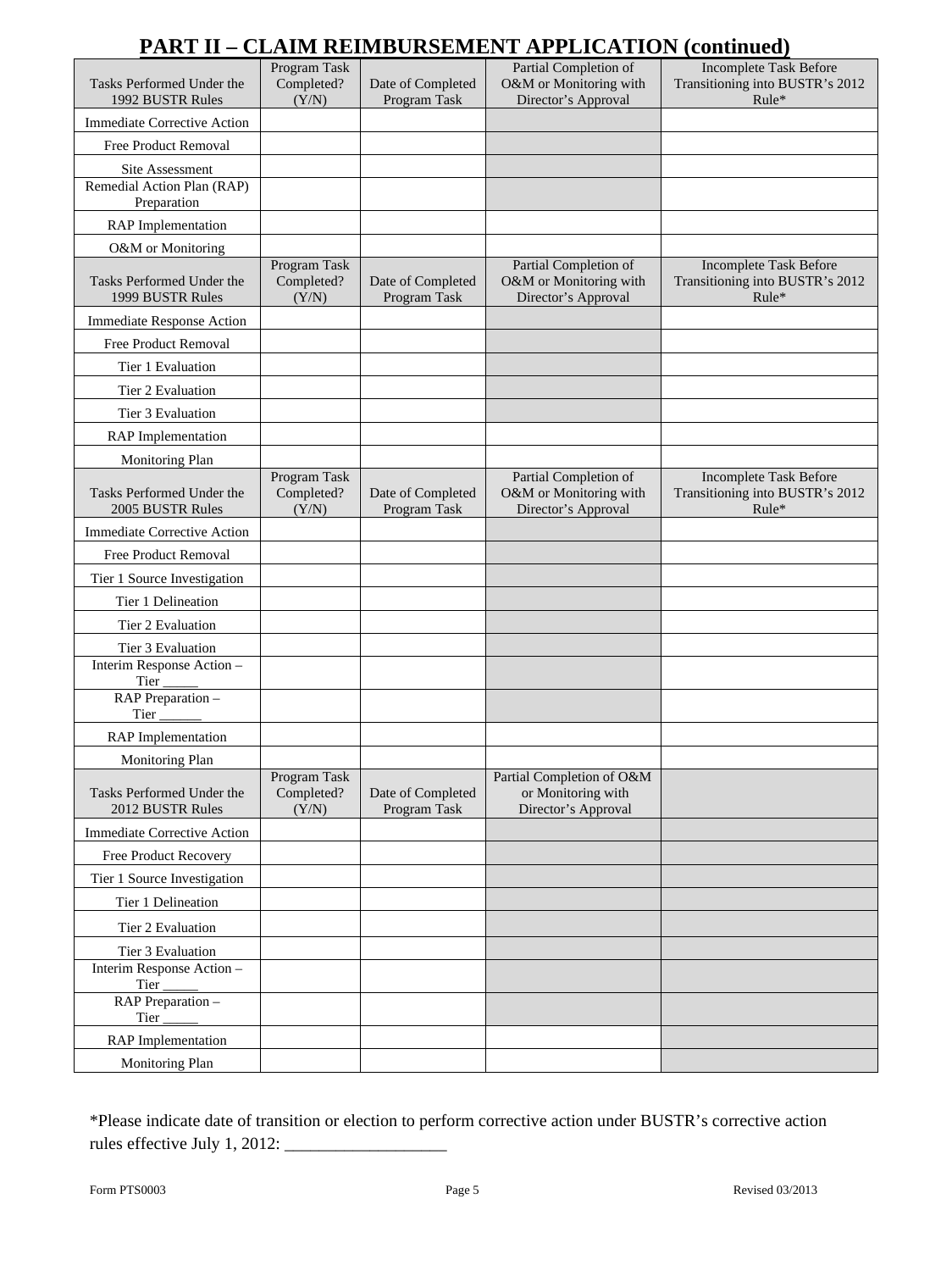## **PART II – CLAIM REIMBURSEMENT APPLICATION (continued)**

| $\cdots$<br>---                               |                                     | 1111 CIWLII 11                    |                                                                        | $\cdots$                                                                    |
|-----------------------------------------------|-------------------------------------|-----------------------------------|------------------------------------------------------------------------|-----------------------------------------------------------------------------|
| Tasks Performed Under the<br>1992 BUSTR Rules | Program Task<br>Completed?<br>(Y/N) | Date of Completed<br>Program Task | Partial Completion of<br>O&M or Monitoring with<br>Director's Approval | <b>Incomplete Task Before</b><br>Transitioning into BUSTR's 2012<br>$Rule*$ |
| Immediate Corrective Action                   |                                     |                                   |                                                                        |                                                                             |
| <b>Free Product Removal</b>                   |                                     |                                   |                                                                        |                                                                             |
| Site Assessment                               |                                     |                                   |                                                                        |                                                                             |
| Remedial Action Plan (RAP)<br>Preparation     |                                     |                                   |                                                                        |                                                                             |
| <b>RAP</b> Implementation                     |                                     |                                   |                                                                        |                                                                             |
| O&M or Monitoring                             |                                     |                                   |                                                                        |                                                                             |
| Tasks Performed Under the<br>1999 BUSTR Rules | Program Task<br>Completed?<br>(Y/N) | Date of Completed<br>Program Task | Partial Completion of<br>O&M or Monitoring with<br>Director's Approval | Incomplete Task Before<br>Transitioning into BUSTR's 2012<br>$Rule*$        |
| <b>Immediate Response Action</b>              |                                     |                                   |                                                                        |                                                                             |
| Free Product Removal                          |                                     |                                   |                                                                        |                                                                             |
| Tier 1 Evaluation                             |                                     |                                   |                                                                        |                                                                             |
| Tier 2 Evaluation                             |                                     |                                   |                                                                        |                                                                             |
| Tier 3 Evaluation                             |                                     |                                   |                                                                        |                                                                             |
| <b>RAP</b> Implementation                     |                                     |                                   |                                                                        |                                                                             |
| Monitoring Plan                               |                                     |                                   |                                                                        |                                                                             |
| Tasks Performed Under the<br>2005 BUSTR Rules | Program Task<br>Completed?<br>(Y/N) | Date of Completed<br>Program Task | Partial Completion of<br>O&M or Monitoring with<br>Director's Approval | <b>Incomplete Task Before</b><br>Transitioning into BUSTR's 2012<br>$Rule*$ |
| <b>Immediate Corrective Action</b>            |                                     |                                   |                                                                        |                                                                             |
| Free Product Removal                          |                                     |                                   |                                                                        |                                                                             |
| Tier 1 Source Investigation                   |                                     |                                   |                                                                        |                                                                             |
| Tier 1 Delineation                            |                                     |                                   |                                                                        |                                                                             |
| Tier 2 Evaluation                             |                                     |                                   |                                                                        |                                                                             |
| Tier 3 Evaluation                             |                                     |                                   |                                                                        |                                                                             |
| Interim Response Action -<br>Tier             |                                     |                                   |                                                                        |                                                                             |
| RAP Preparation -<br>Tier                     |                                     |                                   |                                                                        |                                                                             |
| <b>RAP</b> Implementation                     |                                     |                                   |                                                                        |                                                                             |
| Monitoring Plan                               |                                     |                                   |                                                                        |                                                                             |
| Tasks Performed Under the<br>2012 BUSTR Rules | Program Task<br>Completed?<br>(Y/N) | Date of Completed<br>Program Task | Partial Completion of O&M<br>or Monitoring with<br>Director's Approval |                                                                             |
| <b>Immediate Corrective Action</b>            |                                     |                                   |                                                                        |                                                                             |
| Free Product Recovery                         |                                     |                                   |                                                                        |                                                                             |
| Tier 1 Source Investigation                   |                                     |                                   |                                                                        |                                                                             |
| Tier 1 Delineation                            |                                     |                                   |                                                                        |                                                                             |
| Tier 2 Evaluation                             |                                     |                                   |                                                                        |                                                                             |
| Tier 3 Evaluation                             |                                     |                                   |                                                                        |                                                                             |
| Interim Response Action -<br>Tier             |                                     |                                   |                                                                        |                                                                             |
| RAP Preparation -<br>Tier                     |                                     |                                   |                                                                        |                                                                             |
| <b>RAP</b> Implementation                     |                                     |                                   |                                                                        |                                                                             |
| Monitoring Plan                               |                                     |                                   |                                                                        |                                                                             |

\*Please indicate date of transition or election to perform corrective action under BUSTR's corrective action rules effective July 1, 2012: \_\_\_\_\_\_\_\_\_\_\_\_\_\_\_\_\_\_\_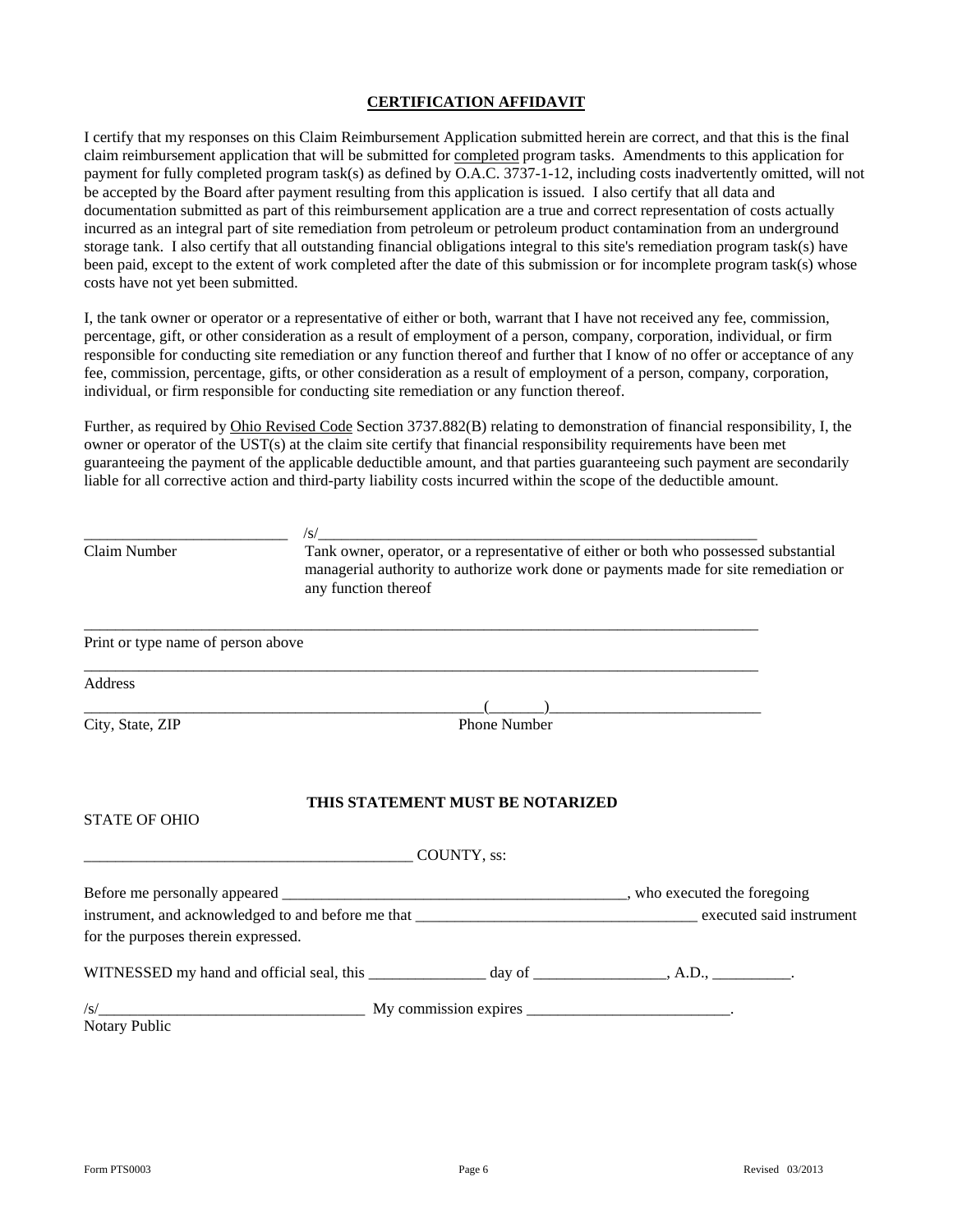#### **CERTIFICATION AFFIDAVIT**

I certify that my responses on this Claim Reimbursement Application submitted herein are correct, and that this is the final claim reimbursement application that will be submitted for completed program tasks. Amendments to this application for payment for fully completed program task(s) as defined by O.A.C. 3737-1-12, including costs inadvertently omitted, will not be accepted by the Board after payment resulting from this application is issued. I also certify that all data and documentation submitted as part of this reimbursement application are a true and correct representation of costs actually incurred as an integral part of site remediation from petroleum or petroleum product contamination from an underground storage tank. I also certify that all outstanding financial obligations integral to this site's remediation program task(s) have been paid, except to the extent of work completed after the date of this submission or for incomplete program task(s) whose costs have not yet been submitted.

I, the tank owner or operator or a representative of either or both, warrant that I have not received any fee, commission, percentage, gift, or other consideration as a result of employment of a person, company, corporation, individual, or firm responsible for conducting site remediation or any function thereof and further that I know of no offer or acceptance of any fee, commission, percentage, gifts, or other consideration as a result of employment of a person, company, corporation, individual, or firm responsible for conducting site remediation or any function thereof.

Further, as required by Ohio Revised Code Section 3737.882(B) relating to demonstration of financial responsibility, I, the owner or operator of the UST(s) at the claim site certify that financial responsibility requirements have been met guaranteeing the payment of the applicable deductible amount, and that parties guaranteeing such payment are secondarily liable for all corrective action and third-party liability costs incurred within the scope of the deductible amount.

| Claim Number                                                                                                                                                                                                                                                                                                                                                                                                                                                                    | any function thereof |                                  | Tank owner, operator, or a representative of either or both who possessed substantial<br>managerial authority to authorize work done or payments made for site remediation or |
|---------------------------------------------------------------------------------------------------------------------------------------------------------------------------------------------------------------------------------------------------------------------------------------------------------------------------------------------------------------------------------------------------------------------------------------------------------------------------------|----------------------|----------------------------------|-------------------------------------------------------------------------------------------------------------------------------------------------------------------------------|
| Print or type name of person above                                                                                                                                                                                                                                                                                                                                                                                                                                              |                      |                                  |                                                                                                                                                                               |
| Address                                                                                                                                                                                                                                                                                                                                                                                                                                                                         |                      |                                  |                                                                                                                                                                               |
| $\overline{(\hspace{.1cm} \cdot \hspace{.1cm} \cdot \hspace{.1cm} \cdot \hspace{.1cm} \cdot \hspace{.1cm} \cdot \hspace{.1cm} \cdot \hspace{.1cm} \cdot \hspace{.1cm} \cdot \hspace{.1cm} \cdot \hspace{.1cm} \cdot \hspace{.1cm} \cdot \hspace{.1cm} \cdot \hspace{.1cm} \cdot \hspace{.1cm} \cdot \hspace{.1cm} \cdot \hspace{.1cm} \cdot \hspace{.1cm} \cdot \hspace{.1cm} \cdot \hspace{.1cm} \cdot \hspace{.1cm} \cdot \hspace{.1cm} \cdot \hspace{.1$<br>City, State, ZIP |                      | Phone Number                     |                                                                                                                                                                               |
| <b>STATE OF OHIO</b>                                                                                                                                                                                                                                                                                                                                                                                                                                                            |                      | THIS STATEMENT MUST BE NOTARIZED |                                                                                                                                                                               |
| <u>COUNTY, ss:</u>                                                                                                                                                                                                                                                                                                                                                                                                                                                              |                      |                                  |                                                                                                                                                                               |
| for the purposes therein expressed.                                                                                                                                                                                                                                                                                                                                                                                                                                             |                      |                                  |                                                                                                                                                                               |
| WITNESSED my hand and official seal, this ________________ day of _______________, A.D., __________.                                                                                                                                                                                                                                                                                                                                                                            |                      |                                  |                                                                                                                                                                               |
| Notary Public                                                                                                                                                                                                                                                                                                                                                                                                                                                                   |                      |                                  |                                                                                                                                                                               |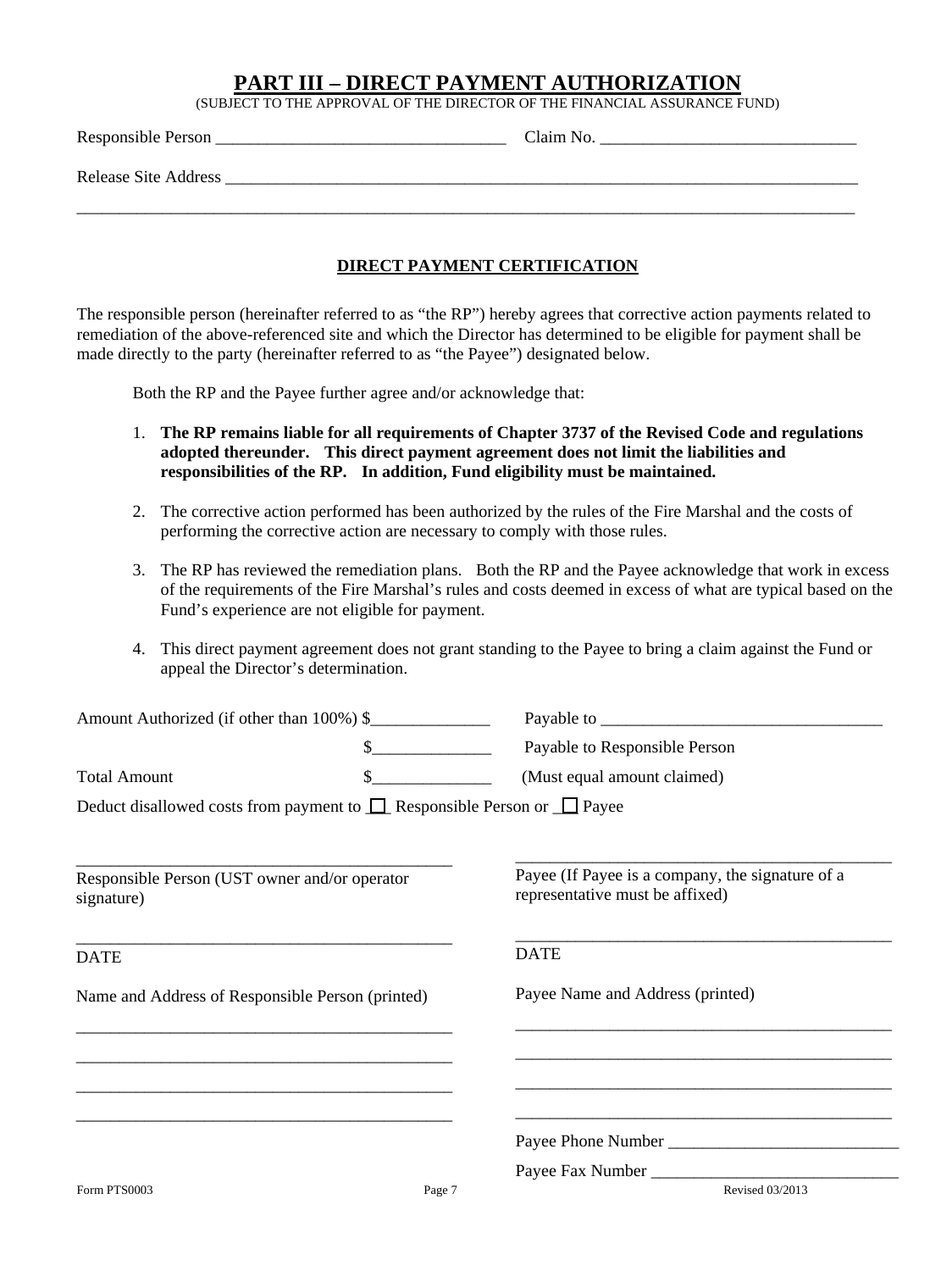#### **PART III – DIRECT PAYMENT AUTHORIZATION**

(SUBJECT TO THE APPROVAL OF THE DIRECTOR OF THE FINANCIAL ASSURANCE FUND)

| Responsible Person _        | Claim No. |
|-----------------------------|-----------|
| <b>Release Site Address</b> |           |
|                             |           |

#### **DIRECT PAYMENT CERTIFICATION**

The responsible person (hereinafter referred to as "the RP") hereby agrees that corrective action payments related to remediation of the above-referenced site and which the Director has determined to be eligible for payment shall be made directly to the party (hereinafter referred to as "the Payee") designated below.

Both the RP and the Payee further agree and/or acknowledge that:

- 1. **The RP remains liable for all requirements of Chapter 3737 of the Revised Code and regulations adopted thereunder. This direct payment agreement does not limit the liabilities and responsibilities of the RP. In addition, Fund eligibility must be maintained.**
- 2. The corrective action performed has been authorized by the rules of the Fire Marshal and the costs of performing the corrective action are necessary to comply with those rules.
- 3. The RP has reviewed the remediation plans. Both the RP and the Payee acknowledge that work in excess of the requirements of the Fire Marshal's rules and costs deemed in excess of what are typical based on the Fund's experience are not eligible for payment.
- 4. This direct payment agreement does not grant standing to the Payee to bring a claim against the Fund or appeal the Director's determination.

|                                                             | Amount Authorized (if other than 100%) \$                                         |                                                                                                                                                           |
|-------------------------------------------------------------|-----------------------------------------------------------------------------------|-----------------------------------------------------------------------------------------------------------------------------------------------------------|
|                                                             | $\frac{1}{2}$                                                                     | Payable to Responsible Person                                                                                                                             |
| <b>Total Amount</b>                                         | \$                                                                                | (Must equal amount claimed)                                                                                                                               |
|                                                             | Deduct disallowed costs from payment to $\Box$ Responsible Person or $\Box$ Payee |                                                                                                                                                           |
| Responsible Person (UST owner and/or operator<br>signature) |                                                                                   | Payee (If Payee is a company, the signature of a<br>representative must be affixed)                                                                       |
| <b>DATE</b>                                                 |                                                                                   | <b>DATE</b>                                                                                                                                               |
| Name and Address of Responsible Person (printed)            |                                                                                   | Payee Name and Address (printed)<br><u> 1980 - Johann John Stone, mars and de final de la provincia de la provincia de la provincia de la provincia d</u> |
|                                                             |                                                                                   |                                                                                                                                                           |
|                                                             |                                                                                   |                                                                                                                                                           |
|                                                             |                                                                                   |                                                                                                                                                           |
|                                                             |                                                                                   |                                                                                                                                                           |
| Form PTS0003                                                | Page 7                                                                            | Revised 03/2013                                                                                                                                           |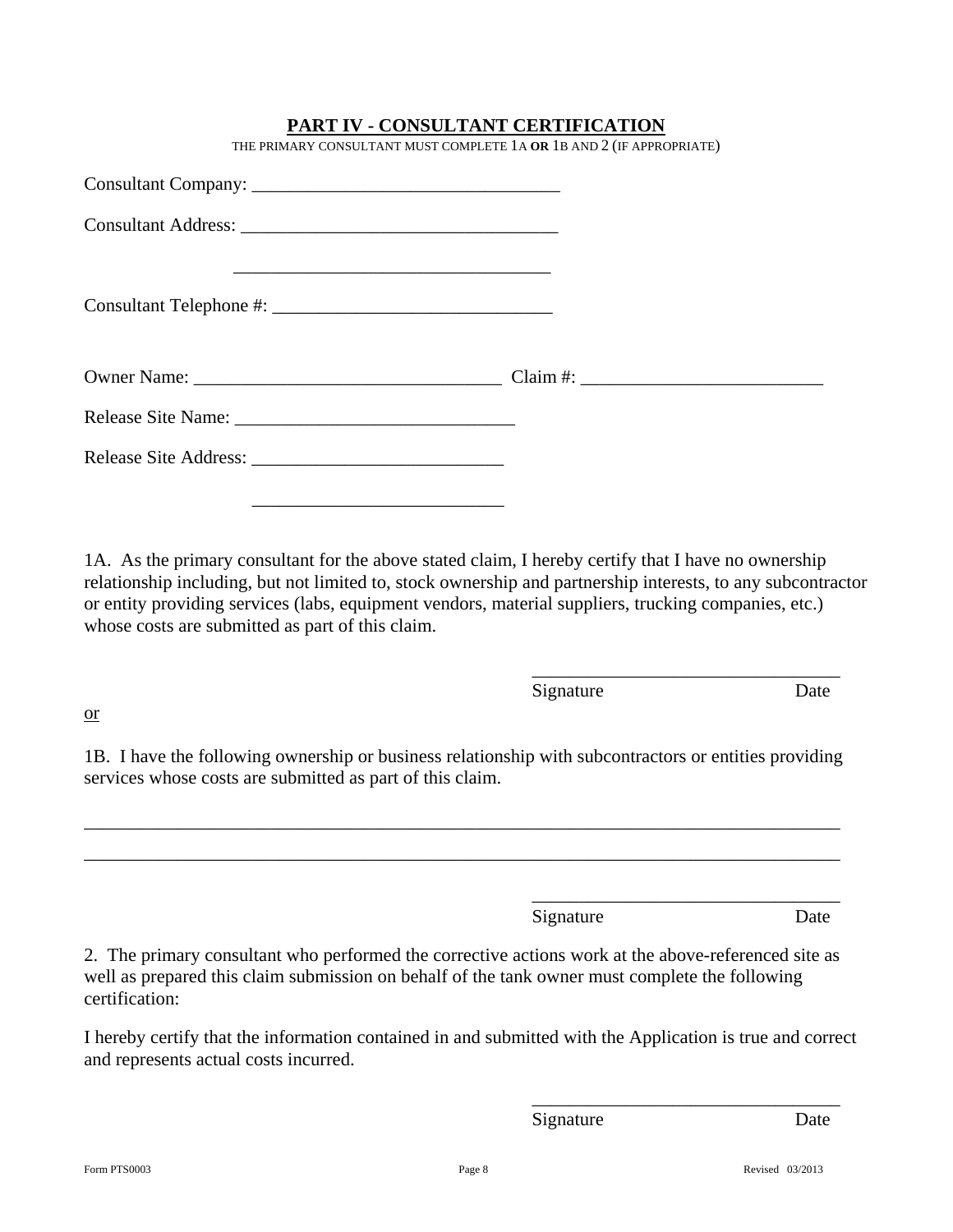### **PART IV - CONSULTANT CERTIFICATION**

THE PRIMARY CONSULTANT MUST COMPLETE 1A **OR** 1B AND 2 (IF APPROPRIATE)

1A. As the primary consultant for the above stated claim, I hereby certify that I have no ownership relationship including, but not limited to, stock ownership and partnership interests, to any subcontractor or entity providing services (labs, equipment vendors, material suppliers, trucking companies, etc.) whose costs are submitted as part of this claim.

Signature Date

or

1B. I have the following ownership or business relationship with subcontractors or entities providing services whose costs are submitted as part of this claim.

\_\_\_\_\_\_\_\_\_\_\_\_\_\_\_\_\_\_\_\_\_\_\_\_\_\_\_\_\_\_\_\_\_\_\_\_\_\_\_\_\_\_\_\_\_\_\_\_\_\_\_\_\_\_\_\_\_\_\_\_\_\_\_\_\_\_\_\_\_\_\_\_\_\_\_\_\_\_\_\_\_ \_\_\_\_\_\_\_\_\_\_\_\_\_\_\_\_\_\_\_\_\_\_\_\_\_\_\_\_\_\_\_\_\_\_\_\_\_\_\_\_\_\_\_\_\_\_\_\_\_\_\_\_\_\_\_\_\_\_\_\_\_\_\_\_\_\_\_\_\_\_\_\_\_\_\_\_\_\_\_\_\_

 $\overline{\phantom{a}}$  , and the contract of the contract of the contract of the contract of the contract of the contract of the contract of the contract of the contract of the contract of the contract of the contract of the contrac

 $\overline{\phantom{a}}$  , and the contract of the contract of the contract of the contract of the contract of the contract of the contract of the contract of the contract of the contract of the contract of the contract of the contrac

Signature Date

2. The primary consultant who performed the corrective actions work at the above-referenced site as well as prepared this claim submission on behalf of the tank owner must complete the following certification:

I hereby certify that the information contained in and submitted with the Application is true and correct and represents actual costs incurred.

 $\overline{\phantom{a}}$  , and the contract of the contract of the contract of the contract of the contract of the contract of the contract of the contract of the contract of the contract of the contract of the contract of the contrac

Signature Date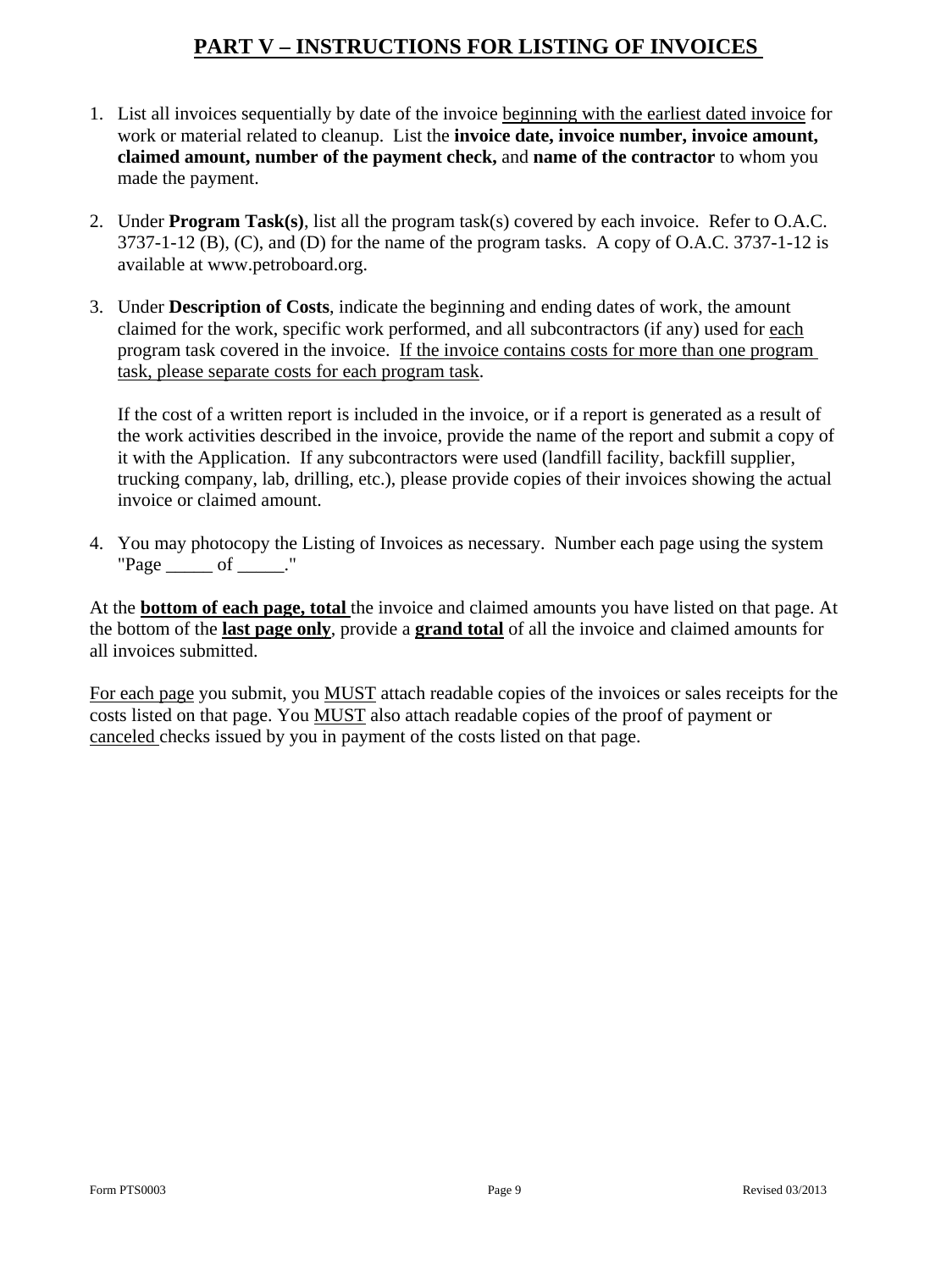## **PART V – INSTRUCTIONS FOR LISTING OF INVOICES**

- 1. List all invoices sequentially by date of the invoice beginning with the earliest dated invoice for work or material related to cleanup. List the **invoice date, invoice number, invoice amount, claimed amount, number of the payment check,** and **name of the contractor** to whom you made the payment.
- 2. Under **Program Task(s)**, list all the program task(s) covered by each invoice. Refer to O.A.C.  $3737-1-12$  (B), (C), and (D) for the name of the program tasks. A copy of O.A.C. 3737-1-12 is available at www.petroboard.org.
- 3. Under **Description of Costs**, indicate the beginning and ending dates of work, the amount claimed for the work, specific work performed, and all subcontractors (if any) used for each program task covered in the invoice. If the invoice contains costs for more than one program task, please separate costs for each program task.

If the cost of a written report is included in the invoice, or if a report is generated as a result of the work activities described in the invoice, provide the name of the report and submit a copy of it with the Application. If any subcontractors were used (landfill facility, backfill supplier, trucking company, lab, drilling, etc.), please provide copies of their invoices showing the actual invoice or claimed amount.

4. You may photocopy the Listing of Invoices as necessary. Number each page using the system  $"Page \_\_\_\text{of} \_\_\text{."}$ 

At the **bottom of each page, total** the invoice and claimed amounts you have listed on that page. At the bottom of the **last page only**, provide a **grand total** of all the invoice and claimed amounts for all invoices submitted.

For each page you submit, you MUST attach readable copies of the invoices or sales receipts for the costs listed on that page. You MUST also attach readable copies of the proof of payment or canceled checks issued by you in payment of the costs listed on that page.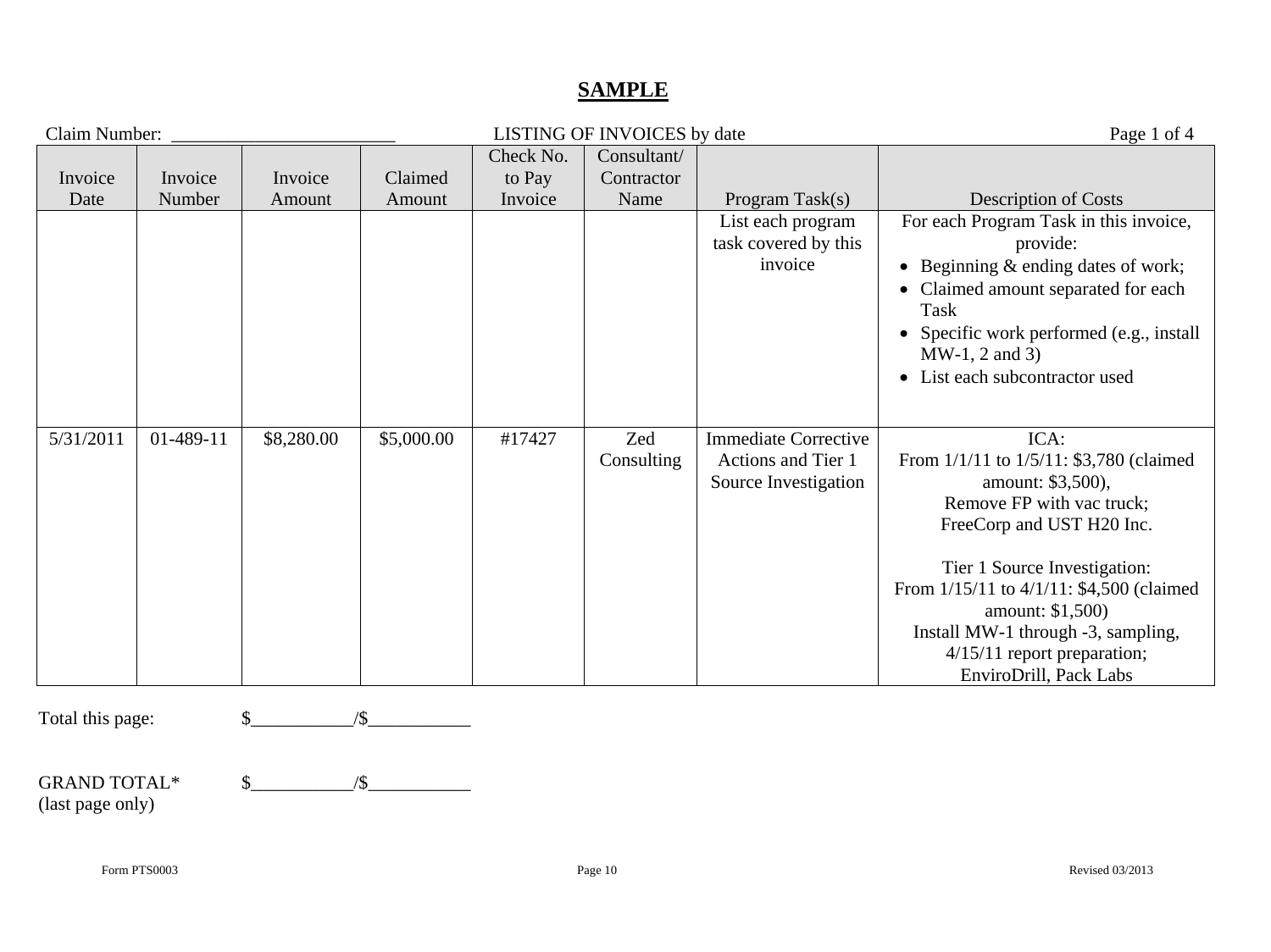### **SAMPLE**

| Claim Number:    |           |            |            |           | LISTING OF INVOICES by date |                                                                           | Page 1 of 4                                                                                                                                                                                                                                                                                                                     |
|------------------|-----------|------------|------------|-----------|-----------------------------|---------------------------------------------------------------------------|---------------------------------------------------------------------------------------------------------------------------------------------------------------------------------------------------------------------------------------------------------------------------------------------------------------------------------|
|                  |           |            |            | Check No. | Consultant/                 |                                                                           |                                                                                                                                                                                                                                                                                                                                 |
| Invoice          | Invoice   | Invoice    | Claimed    | to Pay    | Contractor                  |                                                                           |                                                                                                                                                                                                                                                                                                                                 |
| Date             | Number    | Amount     | Amount     | Invoice   | Name                        | Program Task(s)                                                           | <b>Description of Costs</b>                                                                                                                                                                                                                                                                                                     |
|                  |           |            |            |           |                             | List each program<br>task covered by this<br>invoice                      | For each Program Task in this invoice,<br>provide:<br>• Beginning & ending dates of work;<br>Claimed amount separated for each<br>Task<br>Specific work performed (e.g., install<br>$MW-1, 2 and 3)$<br>• List each subcontractor used                                                                                          |
| 5/31/2011        | 01-489-11 | \$8,280.00 | \$5,000.00 | #17427    | Zed<br>Consulting           | <b>Immediate Corrective</b><br>Actions and Tier 1<br>Source Investigation | ICA:<br>From 1/1/11 to 1/5/11: \$3,780 (claimed)<br>amount: \$3,500),<br>Remove FP with vac truck;<br>FreeCorp and UST H20 Inc.<br>Tier 1 Source Investigation:<br>From 1/15/11 to 4/1/11: \$4,500 (claimed)<br>amount: \$1,500)<br>Install MW-1 through -3, sampling,<br>4/15/11 report preparation;<br>EnviroDrill, Pack Labs |
| Total this page: |           |            | /\$        |           |                             |                                                                           |                                                                                                                                                                                                                                                                                                                                 |

| <b>GRAND TOTAL*</b> |  |
|---------------------|--|
| (last page only)    |  |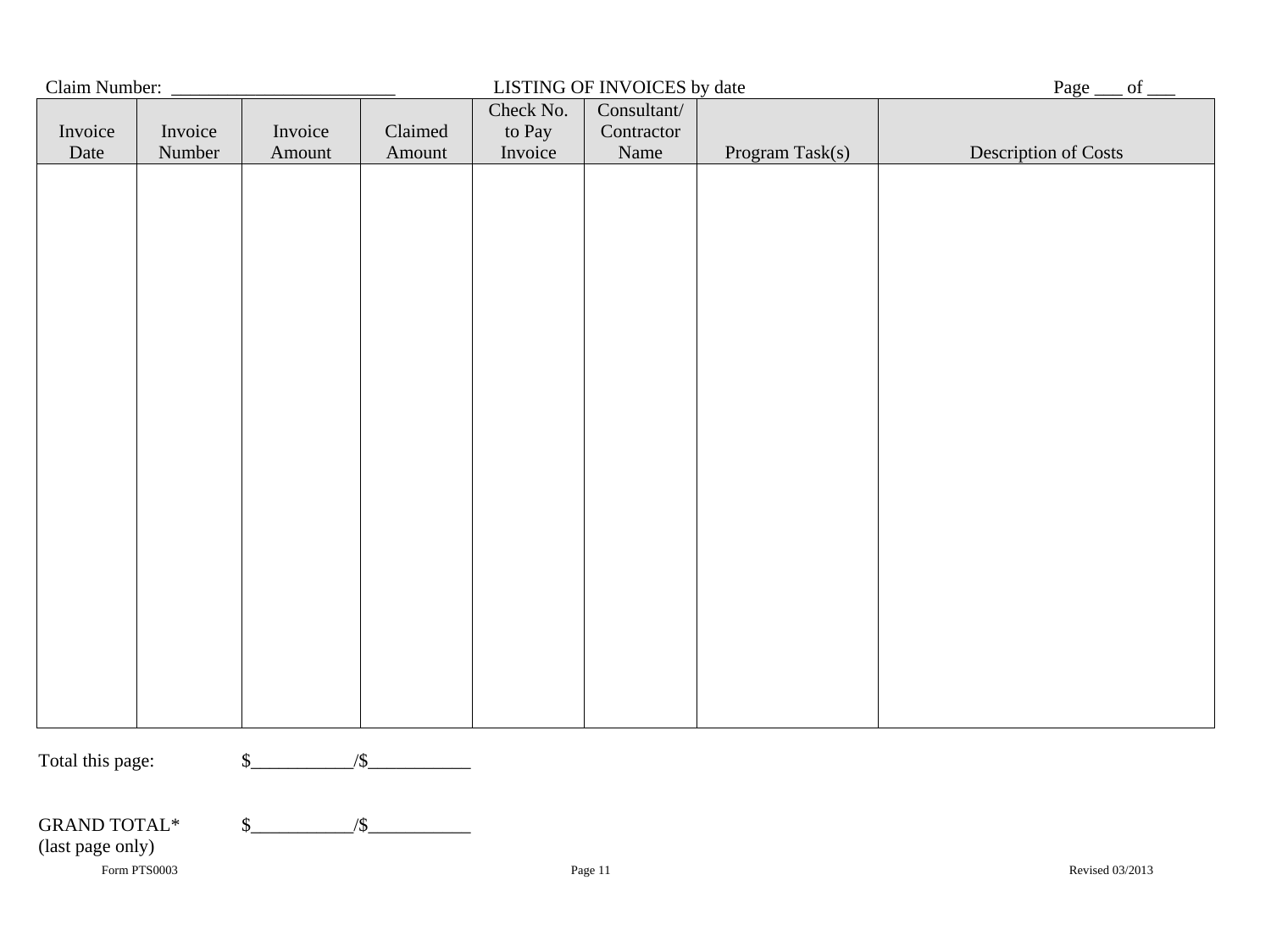| Claim Number:                           |                   |                   |                   |                                | LISTING OF INVOICES by date       |                 | Page<br>of           |
|-----------------------------------------|-------------------|-------------------|-------------------|--------------------------------|-----------------------------------|-----------------|----------------------|
| Invoice<br>Date                         | Invoice<br>Number | Invoice<br>Amount | Claimed<br>Amount | Check No.<br>to Pay<br>Invoice | Consultant/<br>Contractor<br>Name | Program Task(s) | Description of Costs |
|                                         |                   |                   |                   |                                |                                   |                 |                      |
|                                         |                   |                   |                   |                                |                                   |                 |                      |
|                                         |                   |                   |                   |                                |                                   |                 |                      |
|                                         |                   |                   |                   |                                |                                   |                 |                      |
|                                         |                   |                   |                   |                                |                                   |                 |                      |
|                                         |                   |                   |                   |                                |                                   |                 |                      |
|                                         |                   |                   |                   |                                |                                   |                 |                      |
|                                         |                   |                   |                   |                                |                                   |                 |                      |
|                                         |                   |                   |                   |                                |                                   |                 |                      |
|                                         |                   |                   |                   |                                |                                   |                 |                      |
|                                         |                   |                   |                   |                                |                                   |                 |                      |
|                                         |                   |                   |                   |                                |                                   |                 |                      |
| Total this page:                        |                   | $\mathcal{S}_{-}$ | $\sqrt{\$}$       |                                |                                   |                 |                      |
|                                         |                   |                   |                   |                                |                                   |                 |                      |
| <b>GRAND TOTAL*</b><br>(last page only) |                   | $\mathsf{S}_-$    | $\sqrt{\$}$       |                                |                                   |                 |                      |
|                                         | Form PTS0003      |                   |                   |                                | Page 11                           |                 | Revised 03/2013      |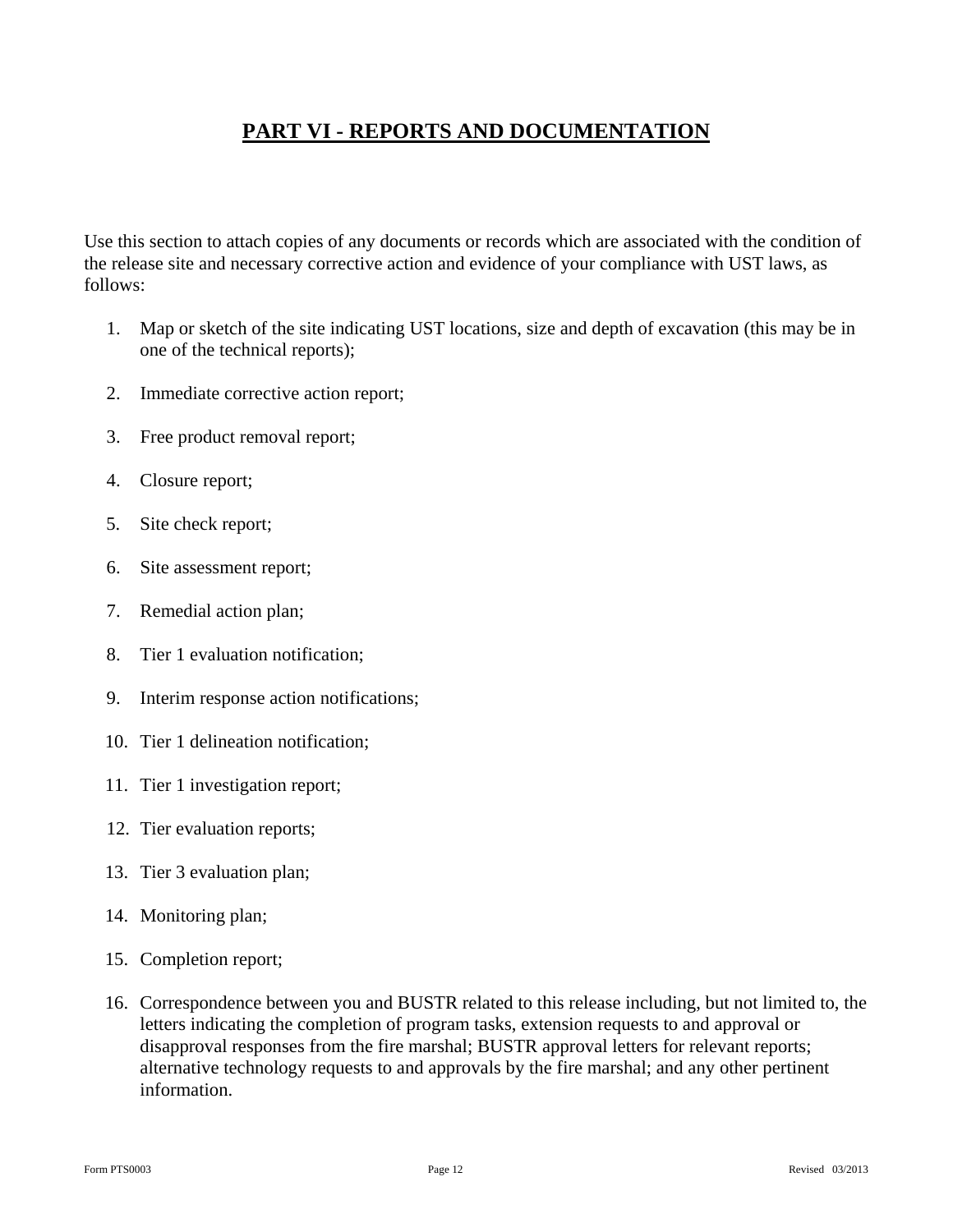## **PART VI - REPORTS AND DOCUMENTATION**

Use this section to attach copies of any documents or records which are associated with the condition of the release site and necessary corrective action and evidence of your compliance with UST laws, as follows:

- 1. Map or sketch of the site indicating UST locations, size and depth of excavation (this may be in one of the technical reports);
- 2. Immediate corrective action report;
- 3. Free product removal report;
- 4. Closure report;
- 5. Site check report;
- 6. Site assessment report;
- 7. Remedial action plan;
- 8. Tier 1 evaluation notification;
- 9. Interim response action notifications;
- 10. Tier 1 delineation notification;
- 11. Tier 1 investigation report;
- 12. Tier evaluation reports;
- 13. Tier 3 evaluation plan;
- 14. Monitoring plan;
- 15. Completion report;
- 16. Correspondence between you and BUSTR related to this release including, but not limited to, the letters indicating the completion of program tasks, extension requests to and approval or disapproval responses from the fire marshal; BUSTR approval letters for relevant reports; alternative technology requests to and approvals by the fire marshal; and any other pertinent information.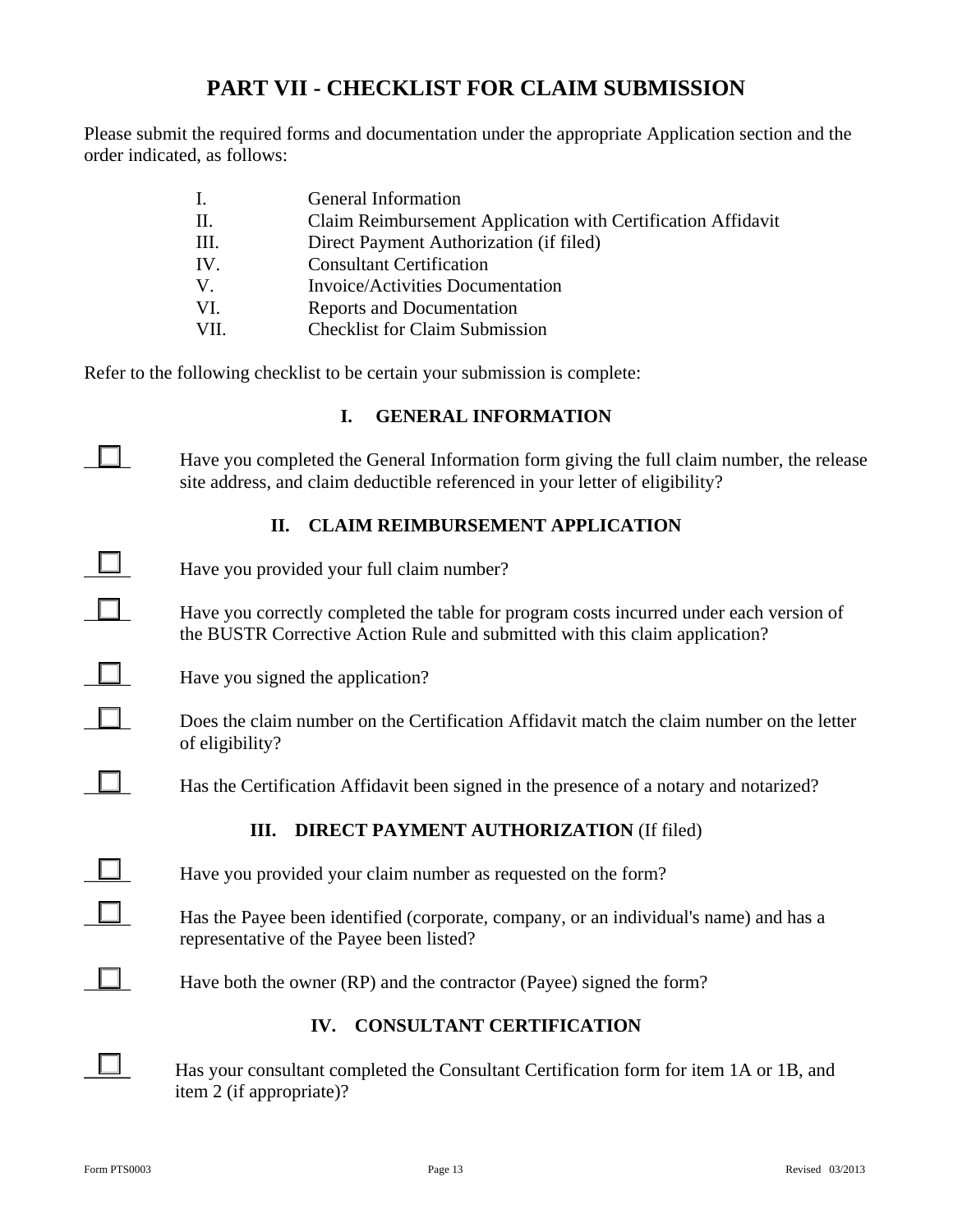## **PART VII - CHECKLIST FOR CLAIM SUBMISSION**

Please submit the required forms and documentation under the appropriate Application section and the order indicated, as follows:

|      | General Information                                          |
|------|--------------------------------------------------------------|
| П.   | Claim Reimbursement Application with Certification Affidavit |
| III. | Direct Payment Authorization (if filed)                      |
| IV.  | <b>Consultant Certification</b>                              |
| V.   | <b>Invoice/Activities Documentation</b>                      |
| VI.  | Reports and Documentation                                    |
| VII  | <b>Checklist for Claim Submission</b>                        |

Refer to the following checklist to be certain your submission is complete:

#### **I. GENERAL INFORMATION**

 $\Box$  Have you completed the General Information form giving the full claim number, the release site address, and claim deductible referenced in your letter of eligibility?

### **II. CLAIM REIMBURSEMENT APPLICATION**

| Have you provided your full claim number?                                                                                                                              |
|------------------------------------------------------------------------------------------------------------------------------------------------------------------------|
| Have you correctly completed the table for program costs incurred under each version of<br>the BUSTR Corrective Action Rule and submitted with this claim application? |
| Have you signed the application?                                                                                                                                       |
| Does the claim number on the Certification Affidavit match the claim number on the letter<br>of eligibility?                                                           |
| Has the Certification Affidavit been signed in the presence of a notary and notarized?                                                                                 |
| <b>DIRECT PAYMENT AUTHORIZATION (If filed)</b><br>Ш.                                                                                                                   |
| Have you provided your claim number as requested on the form?                                                                                                          |
| Has the Payee been identified (corporate, company, or an individual's name) and has a<br>representative of the Payee been listed?                                      |
| Have both the owner (RP) and the contractor (Payee) signed the form?                                                                                                   |
| <b>CONSULTANT CERTIFICATION</b><br>IV.                                                                                                                                 |
|                                                                                                                                                                        |

item 2 (if appropriate)?